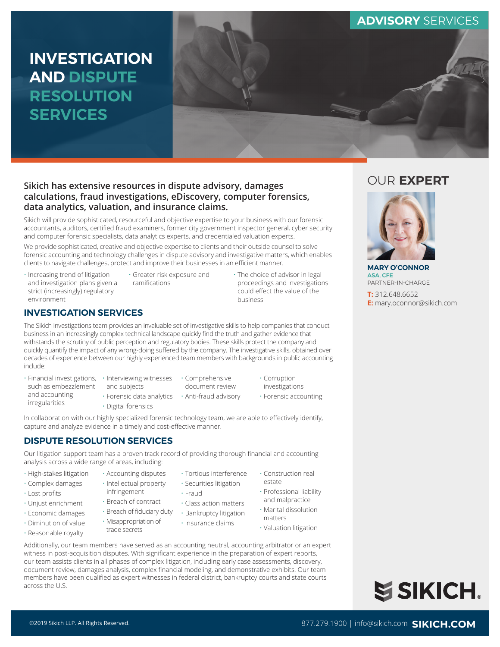# **INVESTIGATION AND DISPUTE RESOLUTION SERVICES**



### **Sikich has extensive resources in dispute advisory, damages calculations, fraud investigations, eDiscovery, computer forensics, data analytics, valuation, and insurance claims.**

Sikich will provide sophisticated, resourceful and objective expertise to your business with our forensic accountants, auditors, certified fraud examiners, former city government inspector general, cyber security and computer forensic specialists, data analytics experts, and credentialed valuation experts.

We provide sophisticated, creative and objective expertise to clients and their outside counsel to solve forensic accounting and technology challenges in dispute advisory and investigative matters, which enables clients to navigate challenges, protect and improve their businesses in an efficient manner.

- Increasing trend of litigation and investigation plans given a strict (increasingly) regulatory environment
- Greater risk exposure and ramifications
- The choice of advisor in legal proceedings and investigations could effect the value of the business

## **INVESTIGATION SERVICES**

The Sikich investigations team provides an invaluable set of investigative skills to help companies that conduct business in an increasingly complex technical landscape quickly find the truth and gather evidence that withstands the scrutiny of public perception and regulatory bodies. These skills protect the company and quickly quantify the impact of any wrong-doing suffered by the company. The investigative skills, obtained over decades of experience between our highly experienced team members with backgrounds in public accounting include:

- Financial investigations, Interviewing witnesses such as embezzlement and accounting irregularities
	- and subjects

• Digital forensics

- Comprehensive document review
- Forensic data analytics Anti-fraud advisory
- Corruption investigations
- Forensic accounting

In collaboration with our highly specialized forensic technology team, we are able to effectively identify, capture and analyze evidence in a timely and cost-effective manner.

## **DISPUTE RESOLUTION SERVICES**

Our litigation support team has a proven track record of providing thorough financial and accounting analysis across a wide range of areas, including:

- High-stakes litigation
- Complex damages
- Lost profits
- Unjust enrichment
- Economic damages
- Diminution of value
- Reasonable royalty
- infringement • Breach of contract
- Breach of fiduciary duty

• Accounting disputes • Intellectual property

- Misappropriation of
- trade secrets
- Tortious interference • Securities litigation • Construction real estate
- Fraud
- Class action matters
- Bankruptcy litigation
- Insurance claims
- Marital dissolution matters • Valuation litigation

• Professional liability and malpractice

Additionally, our team members have served as an accounting neutral, accounting arbitrator or an expert witness in post-acquisition disputes. With significant experience in the preparation of expert reports, our team assists clients in all phases of complex litigation, including early case assessments, discovery, document review, damages analysis, complex financial modeling, and demonstrative exhibits. Our team members have been qualified as expert witnesses in federal district, bankruptcy courts and state courts across the U.S.

# OUR **EXPERT**



**MARY O'CONNOR** ASA, CFE PARTNER-IN-CHARGE

**T:** 312.648.6652 **E:** mary.oconnor@sikich.com

## ©2019 Sikich LLP. All Rights Reserved. 877.279.1900 | info@sikich.com **SIKICH.COM**